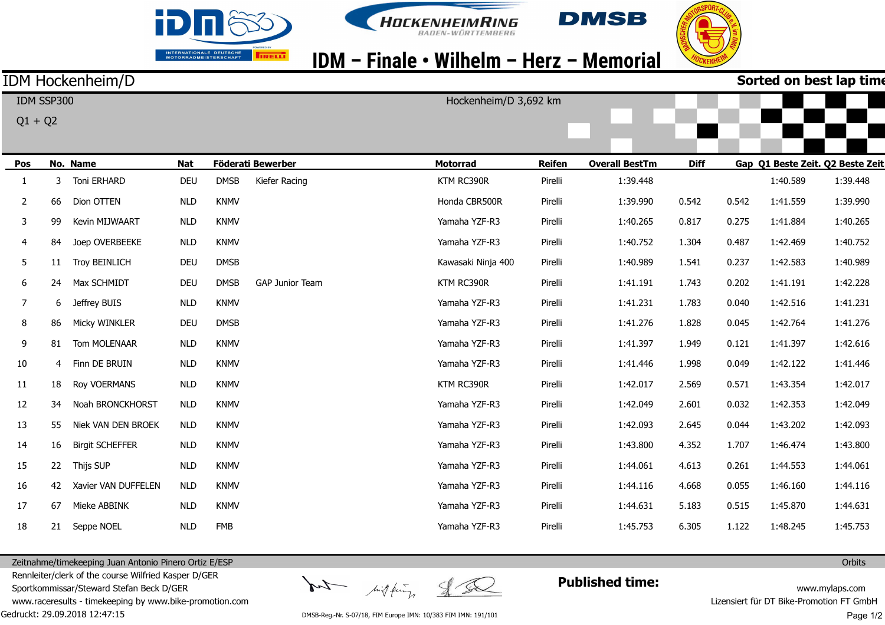





## IDM - Finale • Wilhelm - Herz - Memorial

Hockenheim/D 3,692 km

### IDM Hockenheim/D

 $Q1 + Q2$ 

IDM SSP300

**Sorted on best lap time**

| Pos            |    | No. Name               | <b>Nat</b> |             | Föderati Bewerber      | <b>Motorrad</b>    | <b>Reifen</b> | <b>Overall BestTm</b> | <b>Diff</b> |       | Gap Q1 Beste Zeit. Q2 Beste Zeit |          |
|----------------|----|------------------------|------------|-------------|------------------------|--------------------|---------------|-----------------------|-------------|-------|----------------------------------|----------|
| 1              | 3  | <b>Toni ERHARD</b>     | <b>DEU</b> | <b>DMSB</b> | Kiefer Racing          | KTM RC390R         | Pirelli       | 1:39.448              |             |       | 1:40.589                         | 1:39.448 |
| $\mathbf{2}$   | 66 | Dion OTTEN             | <b>NLD</b> | <b>KNMV</b> |                        | Honda CBR500R      | Pirelli       | 1:39.990              | 0.542       | 0.542 | 1:41.559                         | 1:39.990 |
| 3              | 99 | <b>Kevin MIJWAART</b>  | <b>NLD</b> | <b>KNMV</b> |                        | Yamaha YZF-R3      | Pirelli       | 1:40.265              | 0.817       | 0.275 | 1:41.884                         | 1:40.265 |
| $\overline{4}$ | 84 | Joep OVERBEEKE         | <b>NLD</b> | <b>KNMV</b> |                        | Yamaha YZF-R3      | Pirelli       | 1:40.752              | 1.304       | 0.487 | 1:42.469                         | 1:40.752 |
| 5              | 11 | <b>Troy BEINLICH</b>   | <b>DEU</b> | <b>DMSB</b> |                        | Kawasaki Ninja 400 | Pirelli       | 1:40.989              | 1.541       | 0.237 | 1:42.583                         | 1:40.989 |
| 6              | 24 | Max SCHMIDT            | <b>DEU</b> | <b>DMSB</b> | <b>GAP Junior Team</b> | KTM RC390R         | Pirelli       | 1:41.191              | 1.743       | 0.202 | 1:41.191                         | 1:42.228 |
| 7              | 6  | Jeffrey BUIS           | <b>NLD</b> | <b>KNMV</b> |                        | Yamaha YZF-R3      | Pirelli       | 1:41.231              | 1.783       | 0.040 | 1:42.516                         | 1:41.231 |
| 8              | 86 | Micky WINKLER          | <b>DEU</b> | <b>DMSB</b> |                        | Yamaha YZF-R3      | Pirelli       | 1:41.276              | 1.828       | 0.045 | 1:42.764                         | 1:41.276 |
| 9              | 81 | Tom MOLENAAR           | <b>NLD</b> | <b>KNMV</b> |                        | Yamaha YZF-R3      | Pirelli       | 1:41.397              | 1.949       | 0.121 | 1:41.397                         | 1:42.616 |
| 10             | 4  | Finn DE BRUIN          | <b>NLD</b> | <b>KNMV</b> |                        | Yamaha YZF-R3      | Pirelli       | 1:41.446              | 1.998       | 0.049 | 1:42.122                         | 1:41.446 |
| 11             | 18 | <b>Roy VOERMANS</b>    | <b>NLD</b> | <b>KNMV</b> |                        | KTM RC390R         | Pirelli       | 1:42.017              | 2.569       | 0.571 | 1:43.354                         | 1:42.017 |
| 12             | 34 | Noah BRONCKHORST       | <b>NLD</b> | <b>KNMV</b> |                        | Yamaha YZF-R3      | Pirelli       | 1:42.049              | 2.601       | 0.032 | 1:42.353                         | 1:42.049 |
| 13             | 55 | Niek VAN DEN BROEK     | <b>NLD</b> | <b>KNMV</b> |                        | Yamaha YZF-R3      | Pirelli       | 1:42.093              | 2.645       | 0.044 | 1:43.202                         | 1:42.093 |
| 14             | 16 | <b>Birgit SCHEFFER</b> | <b>NLD</b> | <b>KNMV</b> |                        | Yamaha YZF-R3      | Pirelli       | 1:43.800              | 4.352       | 1.707 | 1:46.474                         | 1:43.800 |
| 15             | 22 | Thijs SUP              | <b>NLD</b> | <b>KNMV</b> |                        | Yamaha YZF-R3      | Pirelli       | 1:44.061              | 4.613       | 0.261 | 1:44.553                         | 1:44.061 |
| 16             | 42 | Xavier VAN DUFFELEN    | <b>NLD</b> | <b>KNMV</b> |                        | Yamaha YZF-R3      | Pirelli       | 1:44.116              | 4.668       | 0.055 | 1:46.160                         | 1:44.116 |
| 17             | 67 | Mieke ABBINK           | <b>NLD</b> | <b>KNMV</b> |                        | Yamaha YZF-R3      | Pirelli       | 1:44.631              | 5.183       | 0.515 | 1:45.870                         | 1:44.631 |
| 18             | 21 | Seppe NOEL             | <b>NLD</b> | <b>FMB</b>  |                        | Yamaha YZF-R3      | Pirelli       | 1:45.753              | 6.305       | 1.122 | 1:48.245                         | 1:45.753 |

Gedruckt: 29.09.2018 12:47:15 Zeitnahme/timekeeping Juan Antonio Pinero Ortiz E/ESP Rennleiter/clerk of the course Wilfried Kasper D/GER Sportkommissar/Steward Stefan Beck D/GER www.raceresults - timekeeping by www.bike-promotion.com

Int high fing

**Published time:**

www.mylaps.com Lizensiert für DT Bike-Promotion FT GmbH Page 1/2

**Orbits** 

DMSB-Reg.-Nr. S-07/18, FIM Europe IMN: 10/383 FIM IMN: 191/101